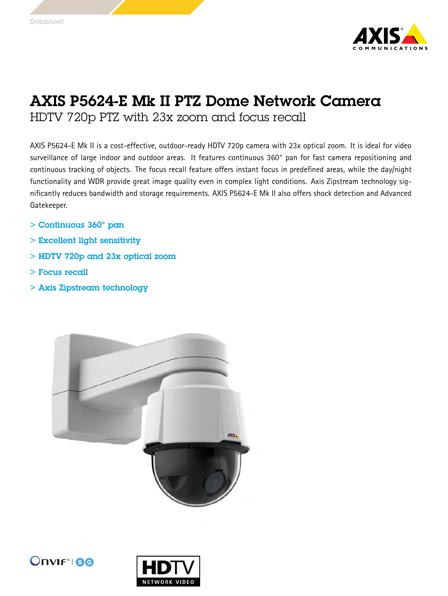

## AXIS P5624-E Mk II PTZ Dome Network Camera

HDTV 720p PTZ with 23x zoom and focus recall

AXIS P5624-E Mk II is <sup>a</sup> cost-effective, outdoor-ready HDTV 720p camera with 23x optical zoom. It is ideal for video surveillance of large indoor and outdoor areas. It features continuous 360° pan for fast camera repositioning and continuous tracking of objects. The focus recall feature offers instant focus in predefined areas, while the day/night functionality and WDR provide great image quality even in complex light conditions. Axis Zipstream technology significantly reduces bandwidth and storage requirements. AXIS P5624-E Mk II also offers shock detection and Advanced Gatekeeper.

- <sup>&</sup>gt; Continuous 360° pan
- <sup>&</sup>gt; Excellent light sensitivity
- <sup>&</sup>gt; HDTV 720p and 23x optical zoom
- <sup>&</sup>gt; Focus recall
- <sup>&</sup>gt; Axis Zipstream technology